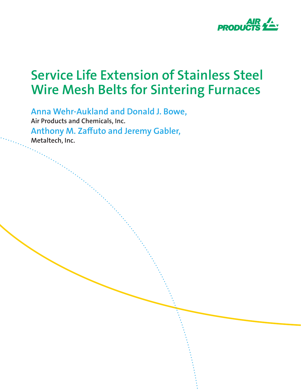

**Anna Wehr-Aukland and Donald J. Bowe, Air Products and Chemicals, Inc. Anthony M. Zaffuto and Jeremy Gabler, Metaltech, Inc.**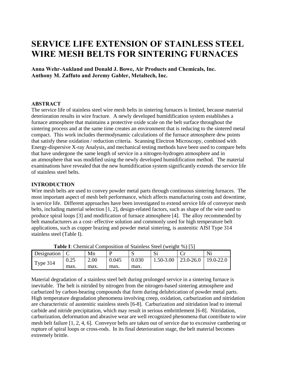## **SERVICE LIFE EXTENSION OF STAINLESS STEEL WIRE MESH BELTS FOR SINTERING FURNACES**

**Anna Wehr-Aukland and Donald J. Bowe, Air Products and Chemicals, Inc. Anthony M. Zaffuto and Jeremy Gabler, Metaltech, Inc.** 

#### **ABSTRACT**

The service life of stainless steel wire mesh belts in sintering furnaces is limited, because material deterioration results in wire fracture. A newly developed humidification system establishes a furnace atmosphere that maintains a protective oxide scale on the belt surface throughout the sintering process and at the same time creates an environment that is reducing to the sintered metal compact. This work includes thermodynamic calculations of the furnace atmosphere dew points that satisfy these oxidation / reduction criteria. Scanning Electron Microscopy, combined with Energy-dispersive X-ray Analysis, and mechanical testing methods have been used to compare belts that have undergone the same length of service in a nitrogen-hydrogen atmosphere and in an atmosphere that was modified using the newly developed humidification method. The material examinations have revealed that the new humidification system significantly extends the service life of stainless steel belts.

#### **INTRODUCTION**

Wire mesh belts are used to convey powder metal parts through continuous sintering furnaces. The most important aspect of mesh belt performance, which affects manufacturing costs and downtime, is service life. Different approaches have been investigated to extend service life of conveyor mesh belts, including material selection [1, 2], design-related factors, such as shape of the wire used to produce spiral loops [3] and modification of furnace atmosphere [4]. The alloy recommended by belt manufacturers as a cost- effective solution and commonly used for high temperature belt applications, such as copper brazing and powder metal sintering, is austenitic AISI Type 314 stainless steel (Table I).

| <b>Fabic 1.</b> Chemical Composition of Bianness Bleef (Weight 707 T21) |      |      |       |       |               |                  |           |
|-------------------------------------------------------------------------|------|------|-------|-------|---------------|------------------|-----------|
| Designation                                                             |      | Mn   |       | N.    | ا د           |                  |           |
| Type 314                                                                | 0.25 | 2.00 | 0.045 | 0.030 | $1.50 - 3.00$ | $\mid$ 23.0-26.0 | 19.0-22.0 |
|                                                                         | max. | max. | max.  | max.  |               |                  |           |

**Table I**: Chemical Composition of Stainless Steel (weight %) [5]

Material degradation of a stainless steel belt during prolonged service in a sintering furnace is inevitable. The belt is nitrided by nitrogen from the nitrogen-based sintering atmosphere and carburized by carbon-bearing compounds that form during delubrication of powder metal parts. High temperature degradation phenomena involving creep, oxidation, carburization and nitridation are characteristic of austenitic stainless steels [6-8]. Carburization and nitridation lead to internal carbide and nitride precipitation, which may result in serious embrittlement [6-8]. Nitridation, carburization, deformation and abrasive wear are well recognized phenomena that contribute to wire mesh belt failure [1, 2, 4, 6]. Conveyor belts are taken out of service due to excessive cambering or rupture of spiral loops or cross-rods. In its final deterioration stage, the belt material becomes extremely brittle.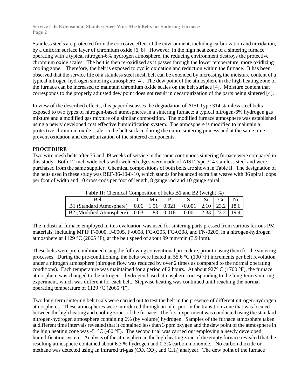Stainless steels are protected from the corrosive effect of the environment, including carburization and nitridation, by a uniform surface layer of chromium oxide [6, 8]. However, in the high heat zone of a sintering furnace operating with a typical nitrogen-6% hydrogen atmosphere, the reducing environment destroys the protective chromium oxide scales. The belt is then re-oxidized as it passes through the lower temperature, more oxidizing cooling zone. Therefore, the belt is exposed to cyclic oxidation and reduction within the furnace. It has been observed that the service life of a stainless steel mesh belt can be extended by increasing the moisture content of a typical nitrogen-hydrogen sintering atmosphere [4]. The dew point of the atmosphere in the high heating zone of the furnace can be increased to maintain chromium oxide scales on the belt surface [4]. Moisture content that corresponds to the properly adjusted dew point does not result in decarburization of the parts being sintered [4].

In view of the described effects, this paper discusses the degradation of AISI Type 314 stainless steel belts exposed to two types of nitrogen-based atmospheres in a sintering furnace: a typical nitrogen-6% hydrogen gas mixture and a modified gas mixture of a similar composition. The modified furnace atmosphere was established using a newly developed cost effective humidification system. The atmosphere is modified to maintain a protective chromium oxide scale on the belt surface during the entire sintering process and at the same time prevent oxidation and decarburization of the sintered components.

#### **PROCEDURE**

Two wire mesh belts after 35 and 49 weeks of service in the same continuous sintering furnace were compared in this study. Both 12 inch wide belts with welded edges were made of AISI Type 314 stainless steel and were purchased from the same supplier. Chemical compositions of both belts are shown in Table II. The designation of the belts used in these study was BEF-36-10-8-10, which stands for balanced extra flat weave with 36 spiral loops per foot of width and 10 cross-rods per foot of length, 8 gauge rod and 10 gauge spiral.

| Tunis III Chemieni Componice di cent Di min De l'Illien d                                                   |  |    |  |  |  |  |  |  |
|-------------------------------------------------------------------------------------------------------------|--|----|--|--|--|--|--|--|
| Belt                                                                                                        |  | Mn |  |  |  |  |  |  |
| B1 (Standard Atmosphere) $\vert 0.06 \vert 1.51 \vert 0.021 \vert < 0.001 \vert 2.10 \vert 23.2 \vert 18.6$ |  |    |  |  |  |  |  |  |
| B2 (Modified Atmosphere)   0.03   1.83   0.018   0.001   2.33   23.2   19.4                                 |  |    |  |  |  |  |  |  |

**Table II**: Chemical Composition of belts B1 and B2 (weight %)

The industrial furnace employed in this evaluation was used for sintering parts pressed from various ferrous PM materials, including MPIF F-0000, F-0005, F-0008, FC-0205, FC-0208, and FN-0205, in a nitrogen-hydrogen atmosphere at 1129 °C (2065 °F), at the belt speed of about 99 mm/min (3.9 ipm).

These belts were pre-conditioned using the following conventional procedure, prior to using them for the sintering processes. During the pre-conditioning, the belts were heated in 55.6 °C (100 °F) increments per belt revolution under a nitrogen atmosphere (nitrogen flow was reduced by over 2 times as compared to the normal operating conditions). Each temperature was maintained for a period of 2 hours. At about 927° C (1700 °F), the furnace atmosphere was changed to the nitrogen – hydrogen based atmosphere corresponding to the long-term sintering experiment, which was different for each belt. Stepwise heating was continued until reaching the normal operating temperature of 1129 °C (2065 °F).

Two long-term sintering belt trials were carried out to test the belt in the presence of different nitrogen-hydrogen atmospheres. These atmospheres were introduced through an inlet port in the transition zone that was located between the high heating and cooling zones of the furnace. The first experiment was conducted using the standard nitrogen-hydrogen atmosphere containing 6% (by volume) hydrogen. Samples of the furnace atmosphere taken at different time intervals revealed that it contained less than 3 ppm oxygen and the dew point of the atmosphere in the high heating zone was  $-51^{\circ}$ C (-60 °F). The second trial was carried out employing a newly developed humidification system. Analysis of the atmosphere in the high heating zone of the empty furnace revealed that the resulting atmosphere contained about 6.3 % hydrogen and 0.3% carbon monoxide. No carbon dioxide or methane was detected using an infrared tri-gas  $(CO, CO<sub>2</sub>)$ , and  $CH<sub>4</sub>$ ) analyzer. The dew point of the furnace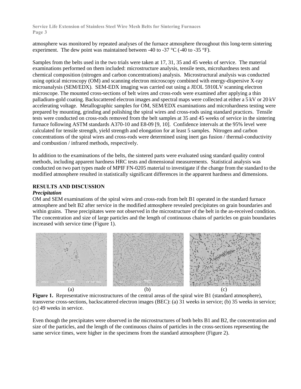atmosphere was monitored by repeated analyses of the furnace atmosphere throughout this long-term sintering experiment. The dew point was maintained between -40 to -37  $\mathrm{^{\circ}C}$  (-40 to -35  $\mathrm{^{\circ}F}$ ).

Samples from the belts used in the two trials were taken at 17, 31, 35 and 45 weeks of service. The material examinations performed on them included: microstructure analysis, tensile tests, microhardness tests and chemical composition (nitrogen and carbon concentrations) analysis. Microstructural analysis was conducted using optical microscopy (OM) and scanning electron microscopy combined with energy-dispersive X-ray microanalysis (SEM/EDX). SEM-EDX imaging was carried out using a JEOL 5910LV scanning electron microscope. The mounted cross-sections of belt wires and cross-rods were examined after applying a thin palladium-gold coating. Backscattered electron images and spectral maps were collected at either a 5 kV or 20 kV accelerating voltage. Metallographic samples for OM, SEM/EDX examinations and microhardness testing were prepared by mounting, grinding and polishing the spiral wires and cross-rods using standard practices. Tensile tests were conducted on cross-rods removed from the belt samples at 35 and 45 weeks of service in the sintering furnace following ASTM standards A370-10 and E8-09 [9, 10]. Confidence intervals at the 95% level were calculated for tensile strength, yield strength and elongation for at least 5 samples. Nitrogen and carbon concentrations of the spiral wires and cross-rods were determined using inert gas fusion / thermal-conductivity and combustion / infrared methods, respectively.

In addition to the examinations of the belts, the sintered parts were evaluated using standard quality control methods, including apparent hardness HRC tests and dimensional measurements. Statistical analysis was conducted on two part types made of MPIF FN-0205 material to investigate if the change from the standard to the modified atmosphere resulted in statistically significant differences in the apparent hardness and dimensions.

#### **RESULTS AND DISCUSSION**

#### *Precipitation*

OM and SEM examinations of the spiral wires and cross-rods from belt B1 operated in the standard furnace atmosphere and belt B2 after service in the modified atmosphere revealed precipitates on grain boundaries and within grains. These precipitates were not observed in the microstructure of the belt in the as-received condition. The concentration and size of large particles and the length of continuous chains of particles on grain boundaries increased with service time (Figure 1).



**Figure 1.** Representative microstructures of the central areas of the spiral wire B1 (standard atmosphere), transverse cross-sections, backscattered electron images (BEC): (a) 31 weeks in service; (b) 35 weeks in service; (c) 49 weeks in service.

Even though the precipitates were observed in the microstructures of both belts B1 and B2, the concentration and size of the particles, and the length of the continuous chains of particles in the cross-sections representing the same service times, were higher in the specimens from the standard atmosphere (Figure 2).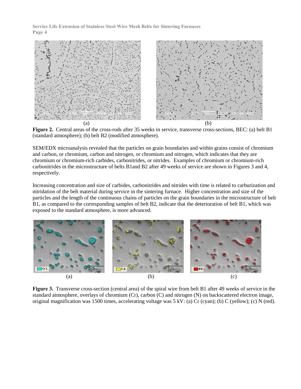

**Figure 2.** Central areas of the cross-rods after 35 weeks in service, transverse cross-sections, BEC: (a) belt B1 (standard atmosphere); (b) belt B2 (modified atmosphere).

SEM/EDX microanalysis revealed that the particles on grain boundaries and within grains consist of chromium and carbon, or chromium, carbon and nitrogen, or chromium and nitrogen, which indicates that they are chromium or chromium-rich carbides, carbonitrides, or nitrides. Examples of chromium or chromium-rich carbonitrides in the microstructure of belts B1and B2 after 49 weeks of service are shown in Figures 3 and 4, respectively.

Increasing concentration and size of carbides, carbonitrides and nitrides with time is related to carburization and nitridation of the belt material during service in the sintering furnace. Higher concentration and size of the particles and the length of the continuous chains of particles on the grain boundaries in the microstructure of belt B1, as compared to the corresponding samples of belt B2, indicate that the deterioration of belt B1, which was exposed to the standard atmosphere, is more advanced.



**Figure 3.** Transverse cross-section (central area) of the spiral wire from belt B1 after 49 weeks of service in the standard atmosphere, overlays of chromium (Cr), carbon (C) and nitrogen (N) on backscattered electron image, original magnification was 1500 times, accelerating voltage was 5 kV: (a) Cr (cyan); (b) C (yellow); (c) N (red).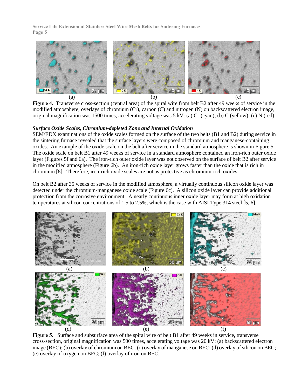

**Figure 4.** Transverse cross-section (central area) of the spiral wire from belt B2 after 49 weeks of service in the modified atmosphere, overlays of chromium (Cr), carbon (C) and nitrogen (N) on backscattered electron image, original magnification was 1500 times, accelerating voltage was 5 kV: (a) Cr (cyan); (b) C (yellow); (c) N (red).

#### *Surface Oxide Scales, Chromium-depleted Zone and Internal Oxidation*

SEM/EDX examinations of the oxide scales formed on the surface of the two belts (B1 and B2) during service in the sintering furnace revealed that the surface layers were composed of chromium and manganese-containing oxides. An example of the oxide scale on the belt after service in the standard atmosphere is shown in Figure 5. The oxide scale on belt B1 after 49 weeks of service in a standard atmosphere contained an iron-rich outer oxide layer (Figures 5f and 6a). The iron-rich outer oxide layer was not observed on the surface of belt B2 after service in the modified atmosphere (Figure 6b). An iron-rich oxide layer grows faster than the oxide that is rich in chromium [8]. Therefore, iron-rich oxide scales are not as protective as chromium-rich oxides.

On belt B2 after 35 weeks of service in the modified atmosphere, a virtually continuous silicon oxide layer was detected under the chromium-manganese oxide scale (Figure 6c). A silicon oxide layer can provide additional protection from the corrosive environment. A nearly continuous inner oxide layer may form at high oxidation temperatures at silicon concentrations of 1.5 to 2.5%, which is the case with AISI Type 314 steel [5, 6].



**Figure 5.** Surface and subsurface area of the spiral wire of belt B1 after 49 weeks in service, transverse cross-section, original magnification was 500 times, accelerating voltage was 20 kV: (a) backscattered electron image (BEC); (b) overlay of chromium on BEC; (c) overlay of manganese on BEC; (d) overlay of silicon on BEC; (e) overlay of oxygen on BEC; (f) overlay of iron on BEC.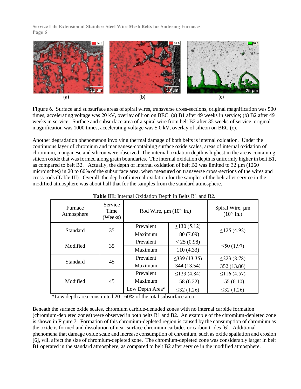

**Figure 6.** Surface and subsurface areas of spiral wires, transverse cross-sections, original magnification was 500 times, accelerating voltage was 20 kV, overlay of iron on BEC: (a) B1 after 49 weeks in service; (b) B2 after 49 weeks in service. Surface and subsurface area of a spiral wire from belt B2 after 35 weeks of service, original magnification was 1000 times, accelerating voltage was 5.0 kV, overlay of silicon on BEC (c).

Another degradation phenomenon involving thermal damage of both belts is internal oxidation. Under the continuous layer of chromium and manganese-containing surface oxide scales, areas of internal oxidation of chromium, manganese and silicon were observed. The internal oxidation depth is highest in the areas containing silicon oxide that was formed along grain boundaries. The internal oxidation depth is uniformly higher in belt B1, as compared to belt B2. Actually, the depth of internal oxidation of belt B2 was limited to 32 µm (1260 microinches) in 20 to 60% of the subsurface area, when measured on transverse cross-sections of the wires and cross-rods (Table III). Overall, the depth of internal oxidation for the samples of the belt after service in the modified atmosphere was about half that for the samples from the standard atmosphere.

| Furnace<br>Atmosphere | Service<br>Time<br>(Weeks) | Rod Wire, $\mu$ m (10 <sup>-3</sup> in.) | Spiral Wire, µm<br>$(10^{-3}$ in.) |                   |  |
|-----------------------|----------------------------|------------------------------------------|------------------------------------|-------------------|--|
| Standard              | 35                         | Prevalent                                | $\leq$ 130 (5.12)                  | $\leq$ 125 (4.92) |  |
|                       |                            | Maximum                                  | 180 (7.09)                         |                   |  |
| Modified              | 35                         | Prevalent                                | < 25(0.98)                         | $\leq 50(1.97)$   |  |
|                       |                            | Maximum                                  | 110(4.33)                          |                   |  |
| Standard              | 45                         | Prevalent                                | $\leq$ 339 (13.35)                 | $\leq$ 223 (8.78) |  |
|                       |                            | Maximum                                  | 344 (13.54)                        | 352 (13.86)       |  |
| Modified              | 45                         | Prevalent                                | $\leq$ 123 (4.84)                  | $\leq$ 116 (4.57) |  |
|                       |                            | Maximum                                  | 158 (6.22)                         | 155(6.10)         |  |
|                       |                            | Low Depth Area*                          | $\leq$ 32 (1.26)                   | $\leq$ 32 (1.26)  |  |

**Table III:** Internal Oxidation Depth in Belts B1 and B2.

\*Low depth area constituted 20 - 60% of the total subsurface area

Beneath the surface oxide scales, chromium carbide-denuded zones with no internal carbide formation (chromium-depleted zones) were observed in both belts B1 and B2. An example of the chromium-depleted zone is shown in Figure 7. Formation of this chromium-depleted region is caused by the consumption of chromium as the oxide is formed and dissolution of near-surface chromium carbides or carbonitrides [6]. Additional phenomena that damage oxide scale and increase consumption of chromium, such as oxide spallation and erosion [6], will affect the size of chromium-depleted zone. The chromium-depleted zone was considerably larger in belt B1 operated in the standard atmosphere, as compared to belt B2 after service in the modified atmosphere.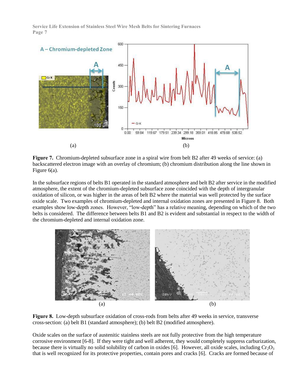

**Figure 7.** Chromium-depleted subsurface zone in a spiral wire from belt B2 after 49 weeks of service: (a) backscattered electron image with an overlay of chromium; (b) chromium distribution along the line shown in Figure 6(a).

In the subsurface regions of belts B1 operated in the standard atmosphere and belt B2 after service in the modified atmosphere, the extent of the chromium-depleted subsurface zone coincided with the depth of intergranular oxidation of silicon, or was higher in the areas of belt B2 where the material was well protected by the surface oxide scale. Two examples of chromium-depleted and internal oxidation zones are presented in Figure 8. Both examples show low-depth zones. However, "low-depth" has a relative meaning, depending on which of the two belts is considered. The difference between belts B1 and B2 is evident and substantial in respect to the width of the chromium-depleted and internal oxidation zone.



**Figure 8.** Low-depth subsurface oxidation of cross-rods from belts after 49 weeks in service, transverse cross-section: (a) belt B1 (standard atmosphere); (b) belt B2 (modified atmosphere).

Oxide scales on the surface of austenitic stainless steels are not fully protective from the high temperature corrosive environment [6-8]. If they were tight and well adherent, they would completely suppress carburization, because there is virtually no solid solubility of carbon in oxides [6]. However, all oxide scales, including  $Cr_2O_3$ that is well recognized for its protective properties, contain pores and cracks [6]. Cracks are formed because of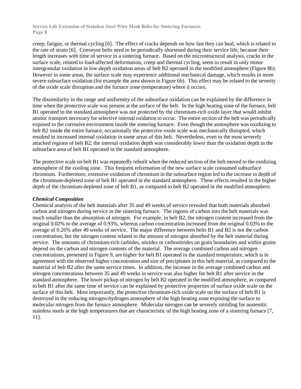creep, fatigue, or thermal cycling [6]. The effect of cracks depends on how fast they can heal, which is related to the rate of strain [6]. Conveyor belts need to be periodically shortened during their service life, because their length increases with time of service in a sintering furnace. Based on the microstructural analysis, cracks in the surface scale, related to load-affected deformation, creep and thermal cycling, seem to result in only minor intergranular oxidation in low-depth oxidation areas of belt B2 operated in the modified atmosphere (Figure 8b). However in some areas, the surface scale may experience additional mechanical damage, which results in more severe subsurface oxidation (for example the area shown in Figure 6b). This effect may be related to the severity of the oxide scale disruption and the furnace zone (temperature) where it occurs.

The dissimilarity in the range and uniformity of the subsurface oxidation can be explained by the difference in time when the protective scale was present at the surface of the belt. In the high heating zone of the furnace, belt B1 operated in the standard atmosphere was not protected by the chromium-rich oxide layer that would inhibit atomic transport necessary for selective internal oxidation to occur. The entire section of the belt was periodically exposed to the corrosive environment inside the sintering furnace. Even though the atmosphere was oxidizing to belt B2 inside the entire furnace, occasionally the protective oxide scale was mechanically disrupted, which resulted in increased internal oxidation in some areas of this belt. Nevertheless, even in the most severely attacked regions of belt B2, the internal oxidation depth was considerably lower than the oxidation depth in the subsurface area of belt B1 operated in the standard atmosphere.

The protective scale on belt B1 was repeatedly rebuilt when the reduced section of the belt moved to the oxidizing atmosphere of the cooling zone. This frequent reformation of the new surface scale consumed subsurface chromium. Furthermore, extensive oxidation of chromium in the subsurface region led to the increase in depth of the chromium-depleted zone of belt B1 operated in the standard atmosphere. These effects resulted in the higher depth of the chromium-depleted zone of belt B1, as compared to belt B2 operated in the modified atmosphere.

#### *Chemical Composition*

Chemical analysis of the belt materials after 35 and 49 weeks of service revealed that both materials absorbed carbon and nitrogen during service in the sintering furnace. The ingress of carbon into the belt materials was much smaller than the absorption of nitrogen. For example, in belt B2, the nitrogen content increased from the original 0.02% to the average of 0.93%, whereas carbon concentration increased from the original 0.03% to the average of 0.26% after 49 weeks of service. The major difference between belts B1 and B2 is not the carbon concentration, but the nitrogen content related to the amount of nitrogen absorbed by the belt material during service. The amounts of chromium-rich carbides, nitrides or carbonitrides on grain boundaries and within grains depend on the carbon and nitrogen contents of the material. The average combined carbon and nitrogen concentrations, presented in Figure 9, are higher for belt B1 operated in the standard temperature, which is in agreement with the observed higher concentration and size of precipitates in this belt material, as compared to the material of belt B2 after the same service times. In addition, the increase in the average combined carbon and nitrogen concentrations between 35 and 49 weeks in service was also higher for belt B1 after service in the standard atmosphere. The lower pickup of nitrogen by belt B2 operated in the modified atmosphere, as compared to belt B1 after the same time of service can be explained by protective properties of surface oxide scale on the surface of this belt. Most importantly, the protective chromium-rich oxide scale on the surface of belt B1 is destroyed in the reducing nitrogen-hydrogen atmosphere of the high heating zone exposing the surface to molecular nitrogen from the furnace atmosphere. Molecular nitrogen can be severely nitriding for austenitic stainless steels at the high temperatures that are characteristic of the high heating zone of a sintering furnace [7, 11].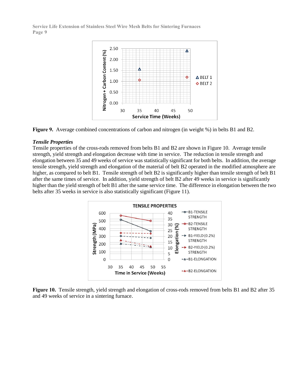



#### *Tensile Properties*

Tensile properties of the cross-rods removed from belts B1 and B2 are shown in Figure 10. Average tensile strength, yield strength and elongation decrease with time in service. The reduction in tensile strength and elongation between 35 and 49 weeks of service was statistically significant for both belts. In addition, the average tensile strength, yield strength and elongation of the material of belt B2 operated in the modified atmosphere are higher, as compared to belt B1. Tensile strength of belt B2 is significantly higher than tensile strength of belt B1 after the same times of service. In addition, yield strength of belt B2 after 49 weeks in service is significantly higher than the yield strength of belt B1 after the same service time. The difference in elongation between the two belts after 35 weeks in service is also statistically significant (Figure 11).



**Figure 10.** Tensile strength, yield strength and elongation of cross-rods removed from belts B1 and B2 after 35 and 49 weeks of service in a sintering furnace.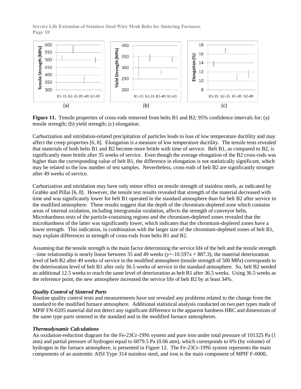

**Figure 11.** Tensile properties of cross-rods removed from belts B1 and B2; 95% confidence intervals for: (a) tensile strength; (b) yield strength; (c) elongation.

Carburization and nitridation-related precipitation of particles leads to loss of low temperature ductility and may affect the creep properties [6, 8]. Elongation is a measure of low temperature ductility. The tensile tests revealed that materials of both belts B1 and B2 become more brittle with time of service. Belt B1, as compared to B2, is significantly more brittle after 35 weeks of service. Even though the average elongation of the B2 cross-rods was higher than the corresponding value of belt B1, the difference in elongation is not statistically significant, which may be related to the low number of test samples. Nevertheless, cross-rods of belt B2 are significantly stronger after 49 weeks of service.

Carburization and nitridation may have only minor effect on tensile strength of stainless steels, as indicated by Grabke and Pillai [6, 8]. However, the tensile test results revealed that strength of the material decreased with time and was significantly lower for belt B1 operated in the standard atmosphere than for belt B2 after service in the modified atmosphere. These results suggest that the depth of the chromium-depleted zone which contains areas of internal oxidation, including intergranular oxidation, affects the strength of conveyor belts. Microhardness tests of the particle-containing regions and the chromium-depleted zones revealed that the microhardness of the latter was significantly lower, which indicates that the chromium-depleted zones have a lower strength. This indication, in combination with the larger size of the chromium-depleted zones of belt B1, may explain differences in strength of cross-rods from belts B1 and B2.

Assuming that the tensile strength is the main factor determining the service life of the belt and the tensile strength – time relationship is nearly linear between 35 and 49 weeks ( $y=10.597x + 887.3$ ), the material deterioration level of belt B2 after 49 weeks of service in the modified atmosphere (tensile strength of 500 MPa) corresponds to the deterioration level of belt B1 after only 36.5 weeks of service in the standard atmosphere. So, belt B2 needed an additional 12.5 weeks to reach the same level of deterioration as belt B1 after 36.5 weeks. Using 36.5 weeks as the reference point, the new atmosphere increased the service life of belt B2 by at least 34%.

#### *Quality Control of Sintered Parts*

Routine quality control tests and measurements have not revealed any problems related to the change from the standard to the modified furnace atmosphere. Additional statistical analysis conducted on two part types made of MPIF FN-0205 material did not detect any significant difference in the apparent hardness HRC and dimensions of the same type parts sintered in the standard and in the modified furnace atmospheres.

#### *Thermodynamic Calculations*

An oxidation-reduction diagram for the Fe-23Cr-19Ni system and pure iron under total pressure of 101325 Pa (1 atm) and partial pressure of hydrogen equal to 6079.5 Pa (0.06 atm), which corresponds to 6% (by volume) of hydrogen in the furnace atmosphere, is presented in Figure 12. The Fe-23Cr-19Ni system represents the main components of an austenitic AISI Type 314 stainless steel, and iron is the main component of MPIF F-0000,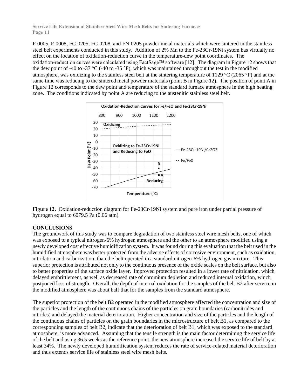F-0005, F-0008, FC-0205, FC-0208, and FN-0205 powder metal materials which were sintered in the stainless steel belt experiments conducted in this study. Addition of 2% Mn to the Fe-23Cr-19Ni system has virtually no effect on the location of oxidation-reduction curve in the temperature-dew point coordinates. The oxidation-reduction curves were calculated using FactSage™ software [12]. The diagram in Figure 12 shows that the dew point of -40 to -37 °C (-40 to -35 °F), which was maintained throughout the test in the modified atmosphere, was oxidizing to the stainless steel belt at the sintering temperature of 1129 °C (2065 °F) and at the same time was reducing to the sintered metal powder materials (point B in Figure 12). The position of point A in Figure 12 corresponds to the dew point and temperature of the standard furnace atmosphere in the high heating zone. The conditions indicated by point A are reducing to the austenitic stainless steel belt.





#### **CONCLUSIONS**

The groundwork of this study was to compare degradation of two stainless steel wire mesh belts, one of which was exposed to a typical nitrogen-6% hydrogen atmosphere and the other to an atmosphere modified using a newly developed cost effective humidification system. It was found during this evaluation that the belt used in the humidified atmosphere was better protected from the adverse effects of corrosive environment, such as oxidation, nitridation and carburization, than the belt operated in a standard nitrogen-6% hydrogen gas mixture. This superior protection is attributed not only to the continuous presence of the oxide scales on the belt surface, but also to better properties of the surface oxide layer. Improved protection resulted in a lower rate of nitridation, which delayed embrittlement, as well as decreased rate of chromium depletion and reduced internal oxidation, which postponed loss of strength. Overall, the depth of internal oxidation for the samples of the belt B2 after service in the modified atmosphere was about half that for the samples from the standard atmosphere.

The superior protection of the belt B2 operated in the modified atmosphere affected the concentration and size of the particles and the length of the continuous chains of the particles on grain boundaries (carbonitrides and nitrides) and delayed the material deterioration. Higher concentration and size of the particles and the length of the continuous chains of particles on the grain boundaries in the microstructure of belt B1, as compared to the corresponding samples of belt B2, indicate that the deterioration of belt B1, which was exposed to the standard atmosphere, is more advanced. Assuming that the tensile strength is the main factor determining the service life of the belt and using 36.5 weeks as the reference point, the new atmosphere increased the service life of belt by at least 34%. The newly developed humidification system reduces the rate of service-related material deterioration and thus extends service life of stainless steel wire mesh belts.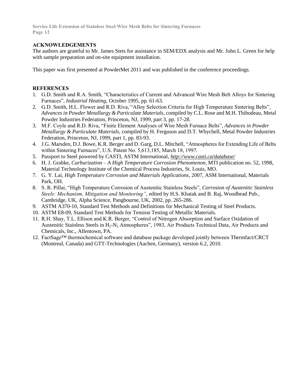### **ACKNOWLEDGEMENTS**

The authors are grateful to Mr. James Stets for assistance in SEM/EDX analysis and Mr. John L. Green for help with sample preparation and on-site equipment installation.

This paper was first presented at PowderMet 2011 and was published in the conference proceedings.

#### **REFERENCES**

- 1. G.D. Smith and R.A. Smith, "Characteristics of Current and Advanced Wire Mesh Belt Alloys for Sintering Furnaces", *Industrial Heating*, October 1995, pp. 61-63.
- 2. G.D. Smith, H.L. Flower and R.D. Riva, "Alloy Selection Criteria for High Temperature Sintering Belts", *Advances in Powder Metallurgy & Particulate Materials*, compiled by C.L. Rose and M.H. Thibodeau, Metal Powder Industries Federation, Princeton, NJ, 1999, part 3, pp. 17-28.
- 3. M.F. Coyle and R.D. Riva, "Finite Element Analyses of Wire Mesh Furnace Belts", *Advances in Powder Metallurgy & Particulate Materials*, compiled by H. Ferguson and D.T. Whychell, Metal Powder Industries Federation, Princeton, NJ, 1999, part 1, pp. 83-93.
- 4. J.G. Marsden, D.J. Bowe, K.R. Berger and D. Garg, D.L. Mitchell, "Atmospheres for Extending Life of Belts within Sintering Furnaces", U.S. Patent No. 5,613,185, March 18, 1997.
- 5. Passport to Steel powered by CASTI, ASTM International, *http://www.casti.ca/database/*
- 6. H. J. Grabke, *Carburization – A High Temperature Corrosion Phenomenon*, MTI publication no. 52, 1998, Material Technology Institute of the Chemical Process Industries, St. Louis, MO.
- 7. G. Y. Lai, *High Temperature Corrosion and Materials Applications*, 2007, ASM International, Materials Park, OH.
- 8. S. R. Pillai, "High Temperature Corrosion of Austenitic Stainless Steels", *Corrosion of Austenitic Stainless Steels: Mechanism, Mitigation and Monitoring"*, edited by H.S. Khatak and B. Raj, Woodhead Pub., Cambridge, UK, Alpha Science, Pangbourne, UK, 2002, pp. 265-286.
- 9. ASTM A370-10, Standard Test Methods and Definitions for Mechanical Testing of Steel Products.
- 10. ASTM E8-09, Standard Test Methods for Tension Testing of Metallic Materials.
- 11. R.H. Shay, T.L. Ellison and K.R. Berger, "Control of Nitrogen Absorption and Surface Oxidation of Austenitic Stainless Steels in H<sub>2</sub>-N<sub>2</sub> Atmospheres", 1983, Air Products Technical Data, Air Products and Chemicals, Inc., Allentown, PA.
- 12. FactSage™ thermochemical software and database package developed jointly between Thermfact/CRCT (Montreal, Canada) and GTT-Technologies (Aachen, Germany), version 6.2, 2010.